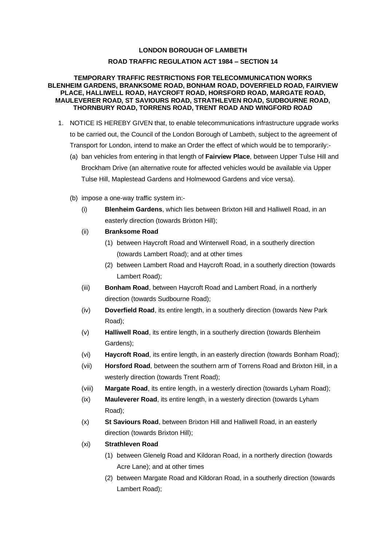## **LONDON BOROUGH OF LAMBETH ROAD TRAFFIC REGULATION ACT 1984 – SECTION 14**

## **TEMPORARY TRAFFIC RESTRICTIONS FOR TELECOMMUNICATION WORKS BLENHEIM GARDENS, BRANKSOME ROAD, BONHAM ROAD, DOVERFIELD ROAD, FAIRVIEW PLACE, HALLIWELL ROAD, HAYCROFT ROAD, HORSFORD ROAD, MARGATE ROAD, MAULEVERER ROAD, ST SAVIOURS ROAD, STRATHLEVEN ROAD, SUDBOURNE ROAD, THORNBURY ROAD, TORRENS ROAD, TRENT ROAD AND WINGFORD ROAD**

- 1. NOTICE IS HEREBY GIVEN that, to enable telecommunications infrastructure upgrade works to be carried out, the Council of the London Borough of Lambeth, subject to the agreement of Transport for London, intend to make an Order the effect of which would be to temporarily:-
	- (a) ban vehicles from entering in that length of **Fairview Place**, between Upper Tulse Hill and Brockham Drive (an alternative route for affected vehicles would be available via Upper Tulse Hill, Maplestead Gardens and Holmewood Gardens and vice versa).
	- (b) impose a one-way traffic system in:-
		- (i) **Blenheim Gardens**, which lies between Brixton Hill and Halliwell Road, in an easterly direction (towards Brixton Hill);
		- (ii) **Branksome Road**
			- (1) between Haycroft Road and Winterwell Road, in a southerly direction (towards Lambert Road); and at other times
			- (2) between Lambert Road and Haycroft Road, in a southerly direction (towards Lambert Road);
		- (iii) **Bonham Road**, between Haycroft Road and Lambert Road, in a northerly direction (towards Sudbourne Road);
		- (iv) **Doverfield Road**, its entire length, in a southerly direction (towards New Park Road);
		- (v) **Halliwell Road**, its entire length, in a southerly direction (towards Blenheim Gardens);
		- (vi) **Haycroft Road**, its entire length, in an easterly direction (towards Bonham Road);
		- (vii) **Horsford Road**, between the southern arm of Torrens Road and Brixton Hill, in a westerly direction (towards Trent Road);
		- (viii) **Margate Road**, its entire length, in a westerly direction (towards Lyham Road);
		- (ix) **Mauleverer Road**, its entire length, in a westerly direction (towards Lyham Road);
		- (x) **St Saviours Road**, between Brixton Hill and Halliwell Road, in an easterly direction (towards Brixton Hill);
		- (xi) **Strathleven Road**
			- (1) between Glenelg Road and Kildoran Road, in a northerly direction (towards Acre Lane); and at other times
			- (2) between Margate Road and Kildoran Road, in a southerly direction (towards Lambert Road);